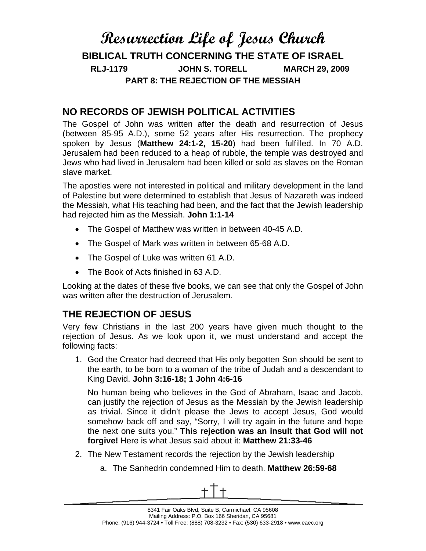# **Resurrection Life of Jesus Church BIBLICAL TRUTH CONCERNING THE STATE OF ISRAEL RLJ-1179 JOHN S. TORELL MARCH 29, 2009 PART 8: THE REJECTION OF THE MESSIAH**

#### **NO RECORDS OF JEWISH POLITICAL ACTIVITIES**

The Gospel of John was written after the death and resurrection of Jesus (between 85-95 A.D.), some 52 years after His resurrection. The prophecy spoken by Jesus (**Matthew 24:1-2, 15-20**) had been fulfilled. In 70 A.D. Jerusalem had been reduced to a heap of rubble, the temple was destroyed and Jews who had lived in Jerusalem had been killed or sold as slaves on the Roman slave market.

The apostles were not interested in political and military development in the land of Palestine but were determined to establish that Jesus of Nazareth was indeed the Messiah, what His teaching had been, and the fact that the Jewish leadership had rejected him as the Messiah. **John 1:1-14**

- The Gospel of Matthew was written in between 40-45 A.D.
- The Gospel of Mark was written in between 65-68 A.D.
- The Gospel of Luke was written 61 A.D.
- The Book of Acts finished in 63 A.D.

Looking at the dates of these five books, we can see that only the Gospel of John was written after the destruction of Jerusalem.

# **THE REJECTION OF JESUS**

Very few Christians in the last 200 years have given much thought to the rejection of Jesus. As we look upon it, we must understand and accept the following facts:

1. God the Creator had decreed that His only begotten Son should be sent to the earth, to be born to a woman of the tribe of Judah and a descendant to King David. **John 3:16-18; 1 John 4:6-16** 

No human being who believes in the God of Abraham, Isaac and Jacob, can justify the rejection of Jesus as the Messiah by the Jewish leadership as trivial. Since it didn't please the Jews to accept Jesus, God would somehow back off and say, "Sorry, I will try again in the future and hope the next one suits you." **This rejection was an insult that God will not forgive!** Here is what Jesus said about it: **Matthew 21:33-46** 

- 2. The New Testament records the rejection by the Jewish leadership
	- a. The Sanhedrin condemned Him to death. **Matthew 26:59-68**

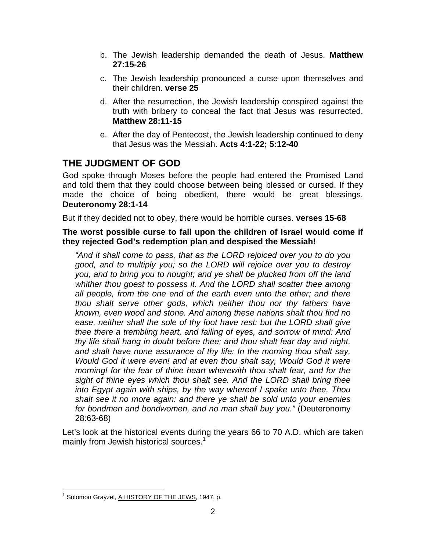- b. The Jewish leadership demanded the death of Jesus. **Matthew 27:15-26**
- c. The Jewish leadership pronounced a curse upon themselves and their children. **verse 25**
- d. After the resurrection, the Jewish leadership conspired against the truth with bribery to conceal the fact that Jesus was resurrected. **Matthew 28:11-15**
- e. After the day of Pentecost, the Jewish leadership continued to deny that Jesus was the Messiah. **Acts 4:1-22; 5:12-40**

## **THE JUDGMENT OF GOD**

God spoke through Moses before the people had entered the Promised Land and told them that they could choose between being blessed or cursed. If they made the choice of being obedient, there would be great blessings. **Deuteronomy 28:1-14**

But if they decided not to obey, there would be horrible curses. **verses 15-68** 

**The worst possible curse to fall upon the children of Israel would come if they rejected God's redemption plan and despised the Messiah!** 

*"And it shall come to pass, that as the LORD rejoiced over you to do you good, and to multiply you; so the LORD will rejoice over you to destroy you, and to bring you to nought; and ye shall be plucked from off the land whither thou goest to possess it. And the LORD shall scatter thee among all people, from the one end of the earth even unto the other; and there thou shalt serve other gods, which neither thou nor thy fathers have known, even wood and stone. And among these nations shalt thou find no ease, neither shall the sole of thy foot have rest: but the LORD shall give thee there a trembling heart, and failing of eyes, and sorrow of mind: And thy life shall hang in doubt before thee; and thou shalt fear day and night, and shalt have none assurance of thy life: In the morning thou shalt say, Would God it were even! and at even thou shalt say, Would God it were morning! for the fear of thine heart wherewith thou shalt fear, and for the sight of thine eyes which thou shalt see. And the LORD shall bring thee into Egypt again with ships, by the way whereof I spake unto thee, Thou shalt see it no more again: and there ye shall be sold unto your enemies for bondmen and bondwomen, and no man shall buy you."* (Deuteronomy 28:63-68)

Let's look at the historical events during the years 66 to 70 A.D. which are taken mainly from Jewish historical sources.<sup>1</sup>

 $\overline{a}$ <sup>1</sup> Solomon Grayzel, A HISTORY OF THE JEWS, 1947, p.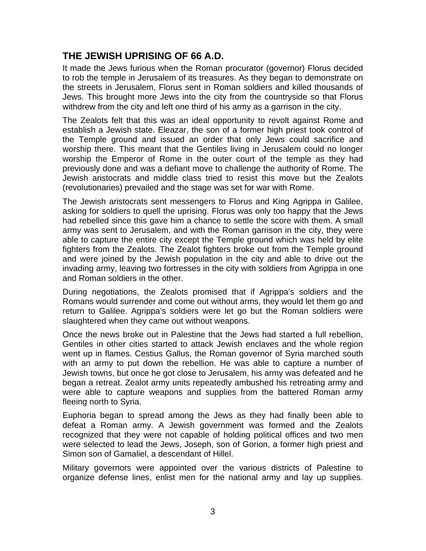### **THE JEWISH UPRISING OF 66 A.D.**

It made the Jews furious when the Roman procurator (governor) Florus decided to rob the temple in Jerusalem of its treasures. As they began to demonstrate on the streets in Jerusalem, Florus sent in Roman soldiers and killed thousands of Jews. This brought more Jews into the city from the countryside so that Florus withdrew from the city and left one third of his army as a garrison in the city.

The Zealots felt that this was an ideal opportunity to revolt against Rome and establish a Jewish state. Eleazar, the son of a former high priest took control of the Temple ground and issued an order that only Jews could sacrifice and worship there. This meant that the Gentiles living in Jerusalem could no longer worship the Emperor of Rome in the outer court of the temple as they had previously done and was a defiant move to challenge the authority of Rome. The Jewish aristocrats and middle class tried to resist this move but the Zealots (revolutionaries) prevailed and the stage was set for war with Rome.

The Jewish aristocrats sent messengers to Florus and King Agrippa in Galilee, asking for soldiers to quell the uprising. Florus was only too happy that the Jews had rebelled since this gave him a chance to settle the score with them. A small army was sent to Jerusalem, and with the Roman garrison in the city, they were able to capture the entire city except the Temple ground which was held by elite fighters from the Zealots. The Zealot fighters broke out from the Temple ground and were joined by the Jewish population in the city and able to drive out the invading army, leaving two fortresses in the city with soldiers from Agrippa in one and Roman soldiers in the other.

During negotiations, the Zealots promised that if Agrippa's soldiers and the Romans would surrender and come out without arms, they would let them go and return to Galilee. Agrippa's soldiers were let go but the Roman soldiers were slaughtered when they came out without weapons.

Once the news broke out in Palestine that the Jews had started a full rebellion, Gentiles in other cities started to attack Jewish enclaves and the whole region went up in flames. Cestius Gallus, the Roman governor of Syria marched south with an army to put down the rebellion. He was able to capture a number of Jewish towns, but once he got close to Jerusalem, his army was defeated and he began a retreat. Zealot army units repeatedly ambushed his retreating army and were able to capture weapons and supplies from the battered Roman army fleeing north to Syria.

Euphoria began to spread among the Jews as they had finally been able to defeat a Roman army. A Jewish government was formed and the Zealots recognized that they were not capable of holding political offices and two men were selected to lead the Jews, Joseph, son of Gorion, a former high priest and Simon son of Gamaliel, a descendant of Hillel.

Military governors were appointed over the various districts of Palestine to organize defense lines, enlist men for the national army and lay up supplies.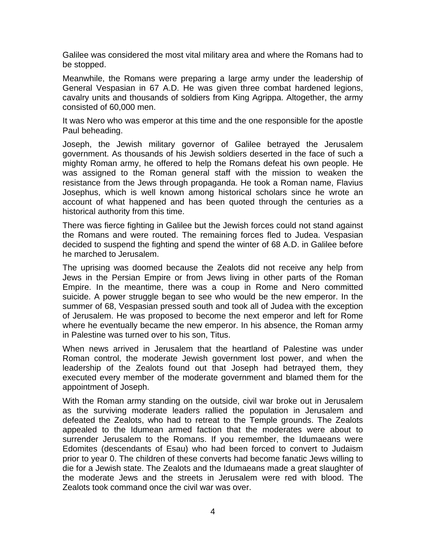Galilee was considered the most vital military area and where the Romans had to be stopped.

Meanwhile, the Romans were preparing a large army under the leadership of General Vespasian in 67 A.D. He was given three combat hardened legions, cavalry units and thousands of soldiers from King Agrippa. Altogether, the army consisted of 60,000 men.

It was Nero who was emperor at this time and the one responsible for the apostle Paul beheading.

Joseph, the Jewish military governor of Galilee betrayed the Jerusalem government. As thousands of his Jewish soldiers deserted in the face of such a mighty Roman army, he offered to help the Romans defeat his own people. He was assigned to the Roman general staff with the mission to weaken the resistance from the Jews through propaganda. He took a Roman name, Flavius Josephus, which is well known among historical scholars since he wrote an account of what happened and has been quoted through the centuries as a historical authority from this time.

There was fierce fighting in Galilee but the Jewish forces could not stand against the Romans and were routed. The remaining forces fled to Judea. Vespasian decided to suspend the fighting and spend the winter of 68 A.D. in Galilee before he marched to Jerusalem.

The uprising was doomed because the Zealots did not receive any help from Jews in the Persian Empire or from Jews living in other parts of the Roman Empire. In the meantime, there was a coup in Rome and Nero committed suicide. A power struggle began to see who would be the new emperor. In the summer of 68, Vespasian pressed south and took all of Judea with the exception of Jerusalem. He was proposed to become the next emperor and left for Rome where he eventually became the new emperor. In his absence, the Roman army in Palestine was turned over to his son, Titus.

When news arrived in Jerusalem that the heartland of Palestine was under Roman control, the moderate Jewish government lost power, and when the leadership of the Zealots found out that Joseph had betrayed them, they executed every member of the moderate government and blamed them for the appointment of Joseph.

With the Roman army standing on the outside, civil war broke out in Jerusalem as the surviving moderate leaders rallied the population in Jerusalem and defeated the Zealots, who had to retreat to the Temple grounds. The Zealots appealed to the Idumean armed faction that the moderates were about to surrender Jerusalem to the Romans. If you remember, the Idumaeans were Edomites (descendants of Esau) who had been forced to convert to Judaism prior to year 0. The children of these converts had become fanatic Jews willing to die for a Jewish state. The Zealots and the Idumaeans made a great slaughter of the moderate Jews and the streets in Jerusalem were red with blood. The Zealots took command once the civil war was over.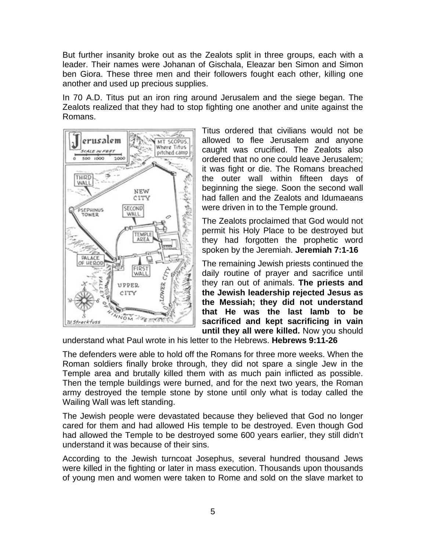But further insanity broke out as the Zealots split in three groups, each with a leader. Their names were Johanan of Gischala, Eleazar ben Simon and Simon ben Giora. These three men and their followers fought each other, killing one another and used up precious supplies.

In 70 A.D. Titus put an iron ring around Jerusalem and the siege began. The Zealots realized that they had to stop fighting one another and unite against the Romans.



Titus ordered that civilians would not be allowed to flee Jerusalem and anyone caught was crucified. The Zealots also ordered that no one could leave Jerusalem; it was fight or die. The Romans breached the outer wall within fifteen days of beginning the siege. Soon the second wall had fallen and the Zealots and Idumaeans were driven in to the Temple ground.

The Zealots proclaimed that God would not permit his Holy Place to be destroyed but they had forgotten the prophetic word spoken by the Jeremiah. **Jeremiah 7:1-16** 

The remaining Jewish priests continued the daily routine of prayer and sacrifice until they ran out of animals. **The priests and the Jewish leadership rejected Jesus as the Messiah; they did not understand that He was the last lamb to be sacrificed and kept sacrificing in vain until they all were killed.** Now you should

understand what Paul wrote in his letter to the Hebrews. **Hebrews 9:11-26** 

The defenders were able to hold off the Romans for three more weeks. When the Roman soldiers finally broke through, they did not spare a single Jew in the Temple area and brutally killed them with as much pain inflicted as possible. Then the temple buildings were burned, and for the next two years, the Roman army destroyed the temple stone by stone until only what is today called the Wailing Wall was left standing.

The Jewish people were devastated because they believed that God no longer cared for them and had allowed His temple to be destroyed. Even though God had allowed the Temple to be destroyed some 600 years earlier, they still didn't understand it was because of their sins.

According to the Jewish turncoat Josephus, several hundred thousand Jews were killed in the fighting or later in mass execution. Thousands upon thousands of young men and women were taken to Rome and sold on the slave market to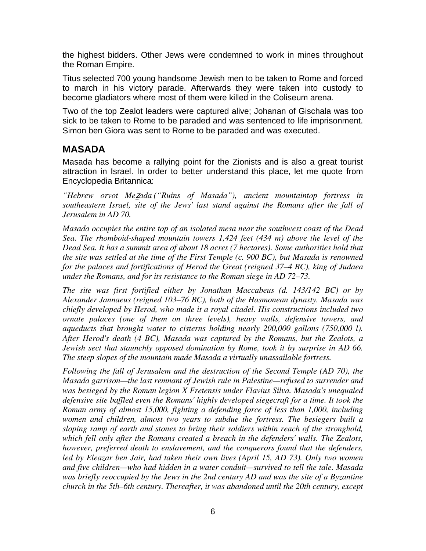the highest bidders. Other Jews were condemned to work in mines throughout the Roman Empire.

Titus selected 700 young handsome Jewish men to be taken to Rome and forced to march in his victory parade. Afterwards they were taken into custody to become gladiators where most of them were killed in the Coliseum arena.

Two of the top Zealot leaders were captured alive; Johanan of Gischala was too sick to be taken to Rome to be paraded and was sentenced to life imprisonment. Simon ben Giora was sent to Rome to be paraded and was executed.

#### **MASADA**

Masada has become a rallying point for the Zionists and is also a great tourist attraction in Israel. In order to better understand this place, let me quote from Encyclopedia Britannica:

*"Hebrew orvot Me*ẕ*ada ("Ruins of Masada"), ancient mountaintop fortress in southeastern Israel, site of the Jews' last stand against the Romans after the fall of Jerusalem in AD 70.* 

*Masada occupies the entire top of an isolated mesa near the southwest coast of the Dead Sea. The rhomboid-shaped mountain towers 1,424 feet (434 m) above the level of the Dead Sea. It has a summit area of about 18 acres (7 hectares). Some authorities hold that the site was settled at the time of the First Temple (c. 900 BC), but Masada is renowned for the palaces and fortifications of Herod the Great (reigned 37–4 BC), king of Judaea under the Romans, and for its resistance to the Roman siege in AD 72–73.* 

*The site was first fortified either by Jonathan Maccabeus (d. 143/142 BC) or by Alexander Jannaeus (reigned 103–76 BC), both of the Hasmonean dynasty. Masada was chiefly developed by Herod, who made it a royal citadel. His constructions included two ornate palaces (one of them on three levels), heavy walls, defensive towers, and aqueducts that brought water to cisterns holding nearly 200,000 gallons (750,000 l). After Herod's death (4 BC), Masada was captured by the Romans, but the Zealots, a Jewish sect that staunchly opposed domination by Rome, took it by surprise in AD 66. The steep slopes of the mountain made Masada a virtually unassailable fortress.* 

*Following the fall of Jerusalem and the destruction of the Second Temple (AD 70), the Masada garrison—the last remnant of Jewish rule in Palestine—refused to surrender and was besieged by the Roman legion X Fretensis under Flavius Silva. Masada's unequaled*  defensive site baffled even the Romans' highly developed siegecraft for a time. It took the *Roman army of almost 15,000, fighting a defending force of less than 1,000, including women and children, almost two years to subdue the fortress. The besiegers built a sloping ramp of earth and stones to bring their soldiers within reach of the stronghold, which fell only after the Romans created a breach in the defenders' walls. The Zealots, however, preferred death to enslavement, and the conquerors found that the defenders, led by Eleazar ben Jair, had taken their own lives (April 15, AD 73). Only two women and five children—who had hidden in a water conduit—survived to tell the tale. Masada was briefly reoccupied by the Jews in the 2nd century AD and was the site of a Byzantine church in the 5th–6th century. Thereafter, it was abandoned until the 20th century, except*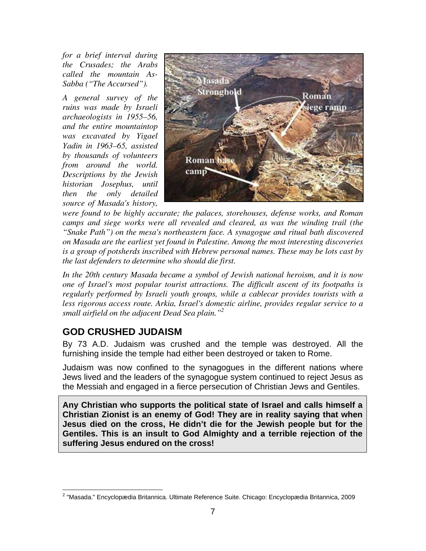*for a brief interval during the Crusades; the Arabs called the mountain As-Sabba ("The Accursed").* 

*A general survey of the ruins was made by Israeli archaeologists in 1955–56, and the entire mountaintop was excavated by Yigael Yadin in 1963–65, assisted by thousands of volunteers from around the world. Descriptions by the Jewish historian Josephus, until then the only detailed source of Masada's history,* 



*were found to be highly accurate; the palaces, storehouses, defense works, and Roman camps and siege works were all revealed and cleared, as was the winding trail (the "Snake Path") on the mesa's northeastern face. A synagogue and ritual bath discovered on Masada are the earliest yet found in Palestine. Among the most interesting discoveries is a group of potsherds inscribed with Hebrew personal names. These may be lots cast by the last defenders to determine who should die first.* 

*In the 20th century Masada became a symbol of Jewish national heroism, and it is now one of Israel's most popular tourist attractions. The difficult ascent of its footpaths is regularly performed by Israeli youth groups, while a cablecar provides tourists with a less rigorous access route. Arkia, Israel's domestic airline, provides regular service to a small airfield on the adjacent Dead Sea plain."2*

#### **GOD CRUSHED JUDAISM**

By 73 A.D. Judaism was crushed and the temple was destroyed. All the furnishing inside the temple had either been destroyed or taken to Rome.

Judaism was now confined to the synagogues in the different nations where Jews lived and the leaders of the synagogue system continued to reject Jesus as the Messiah and engaged in a fierce persecution of Christian Jews and Gentiles.

**Any Christian who supports the political state of Israel and calls himself a Christian Zionist is an enemy of God! They are in reality saying that when Jesus died on the cross, He didn't die for the Jewish people but for the Gentiles. This is an insult to God Almighty and a terrible rejection of the suffering Jesus endured on the cross!** 

 2 "Masada." Encyclopædia Britannica. Ultimate Reference Suite. Chicago: Encyclopædia Britannica, 2009